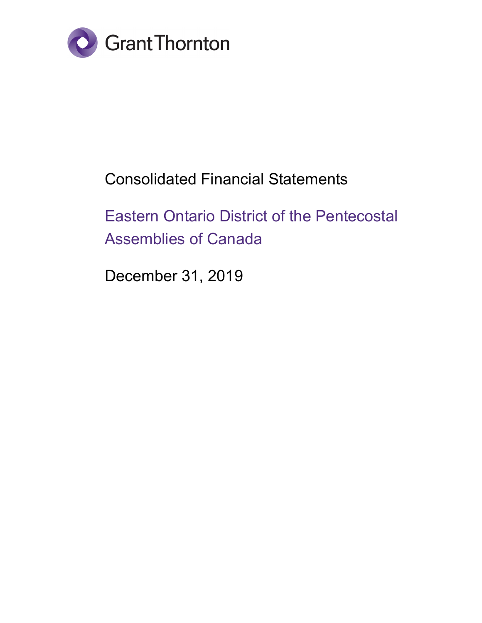

# Consolidated Financial Statements

Eastern Ontario District of the Pentecostal Assemblies of Canada

December 31, 2019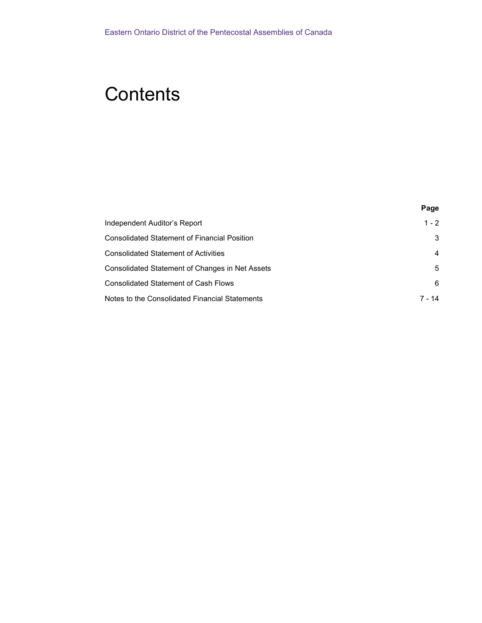# **Contents**

|                                                     | Page           |
|-----------------------------------------------------|----------------|
| Independent Auditor's Report                        | $1 - 2$        |
| <b>Consolidated Statement of Financial Position</b> | 3              |
| <b>Consolidated Statement of Activities</b>         | $\overline{4}$ |
| Consolidated Statement of Changes in Net Assets     | 5              |
| Consolidated Statement of Cash Flows                | 6              |
| Notes to the Consolidated Financial Statements      | 7 - 14         |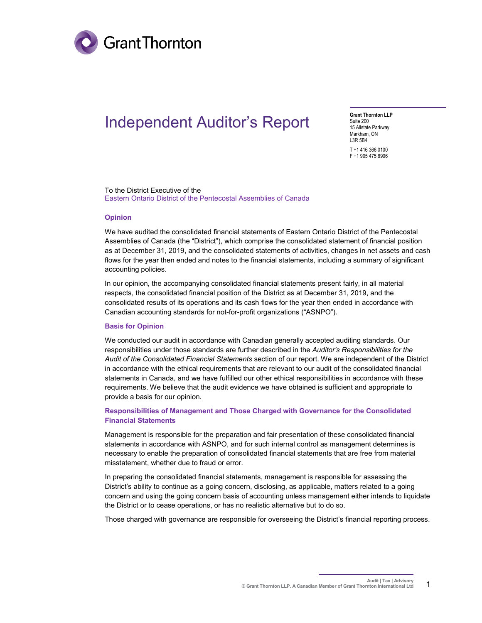<span id="page-2-0"></span>

## Independent Auditor's Report

**Grant Thornton LLP** Suite 200 15 Allstate Parkway Markham, ON L3R 5B4 T +1 416 366 0100 F +1 905 475 8906

To the District Executive of the Eastern Ontario District of the Pentecostal Assemblies of Canada

#### **Opinion**

We have audited the consolidated financial statements of Eastern Ontario District of the Pentecostal Assemblies of Canada (the "District"), which comprise the consolidated statement of financial position as at December 31, 2019, and the consolidated statements of activities, changes in net assets and cash flows for the year then ended and notes to the financial statements, including a summary of significant accounting policies.

In our opinion, the accompanying consolidated financial statements present fairly, in all material respects, the consolidated financial position of the District as at December 31, 2019, and the consolidated results of its operations and its cash flows for the year then ended in accordance with Canadian accounting standards for not-for-profit organizations ("ASNPO").

#### **Basis for Opinion**

We conducted our audit in accordance with Canadian generally accepted auditing standards. Our responsibilities under those standards are further described in the *Auditor's Responsibilities for the Audit of the Consolidated Financial Statements* section of our report. We are independent of the District in accordance with the ethical requirements that are relevant to our audit of the consolidated financial statements in Canada, and we have fulfilled our other ethical responsibilities in accordance with these requirements. We believe that the audit evidence we have obtained is sufficient and appropriate to provide a basis for our opinion.

#### **Responsibilities of Management and Those Charged with Governance for the Consolidated Financial Statements**

Management is responsible for the preparation and fair presentation of these consolidated financial statements in accordance with ASNPO, and for such internal control as management determines is necessary to enable the preparation of consolidated financial statements that are free from material misstatement, whether due to fraud or error.

In preparing the consolidated financial statements, management is responsible for assessing the District's ability to continue as a going concern, disclosing, as applicable, matters related to a going concern and using the going concern basis of accounting unless management either intends to liquidate the District or to cease operations, or has no realistic alternative but to do so.

Those charged with governance are responsible for overseeing the District's financial reporting process.

**Audit | Tax | Advisory © Grant Thornton LLP. A Canadian Member of Grant Thornton International Ltd** 1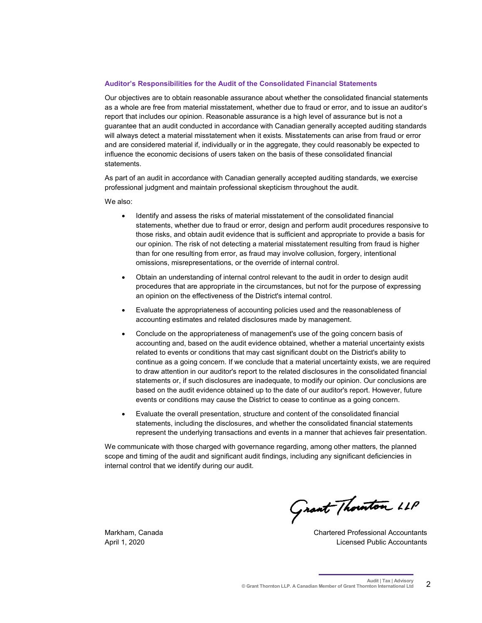#### **Auditor's Responsibilities for the Audit of the Consolidated Financial Statements**

Our objectives are to obtain reasonable assurance about whether the consolidated financial statements as a whole are free from material misstatement, whether due to fraud or error, and to issue an auditor's report that includes our opinion. Reasonable assurance is a high level of assurance but is not a guarantee that an audit conducted in accordance with Canadian generally accepted auditing standards will always detect a material misstatement when it exists. Misstatements can arise from fraud or error and are considered material if, individually or in the aggregate, they could reasonably be expected to influence the economic decisions of users taken on the basis of these consolidated financial statements.

As part of an audit in accordance with Canadian generally accepted auditing standards, we exercise professional judgment and maintain professional skepticism throughout the audit.

We also:

- Identify and assess the risks of material misstatement of the consolidated financial statements, whether due to fraud or error, design and perform audit procedures responsive to those risks, and obtain audit evidence that is sufficient and appropriate to provide a basis for our opinion. The risk of not detecting a material misstatement resulting from fraud is higher than for one resulting from error, as fraud may involve collusion, forgery, intentional omissions, misrepresentations, or the override of internal control.
- Obtain an understanding of internal control relevant to the audit in order to design audit procedures that are appropriate in the circumstances, but not for the purpose of expressing an opinion on the effectiveness of the District's internal control.
- Evaluate the appropriateness of accounting policies used and the reasonableness of accounting estimates and related disclosures made by management.
- Conclude on the appropriateness of management's use of the going concern basis of accounting and, based on the audit evidence obtained, whether a material uncertainty exists related to events or conditions that may cast significant doubt on the District's ability to continue as a going concern. If we conclude that a material uncertainty exists, we are required to draw attention in our auditor's report to the related disclosures in the consolidated financial statements or, if such disclosures are inadequate, to modify our opinion. Our conclusions are based on the audit evidence obtained up to the date of our auditor's report. However, future events or conditions may cause the District to cease to continue as a going concern.
- Evaluate the overall presentation, structure and content of the consolidated financial statements, including the disclosures, and whether the consolidated financial statements represent the underlying transactions and events in a manner that achieves fair presentation.

We communicate with those charged with governance regarding, among other matters, the planned scope and timing of the audit and significant audit findings, including any significant deficiencies in internal control that we identify during our audit.

Grant Thouton LLP

Markham, Canada Chartered Professional Accountants April 1, 2020 **April 1, 2020 Licensed Public Accountants** 

**Audit | Tax | Advisory © Grant Thornton LLP. A Canadian Member of Grant Thornton International Ltd** 2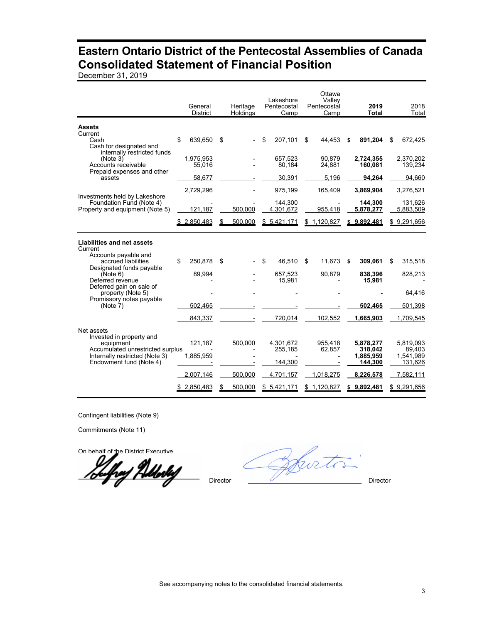### <span id="page-4-0"></span>**Eastern Ontario District of the Pentecostal Assemblies of Canada Consolidated Statement of Financial Position**

December 31, 2019

|                                                                                                                                                                                                                                                  | General<br><b>District</b>         | Heritage<br><b>Holdings</b> | Lakeshore<br>Pentecostal<br>Camp           | Ottawa<br>Vallev<br>Pentecostal<br>Camp | 2019<br><b>Total</b>                                      | 2018<br>Total                                            |
|--------------------------------------------------------------------------------------------------------------------------------------------------------------------------------------------------------------------------------------------------|------------------------------------|-----------------------------|--------------------------------------------|-----------------------------------------|-----------------------------------------------------------|----------------------------------------------------------|
| <b>Assets</b><br>Current<br>Cash<br>Cash for designated and                                                                                                                                                                                      | \$<br>639.650                      | \$                          | \$<br>207.101                              | \$<br>44.453 \$                         | 891,204                                                   | 672,425<br>\$                                            |
| internally restricted funds<br>(Note 3)<br>Accounts receivable<br>Prepaid expenses and other                                                                                                                                                     | 1,975,953<br>55,016                |                             | 657,523<br>80,184                          | 90,879<br>24,881                        | 2,724,355<br>160,081                                      | 2,370,202<br>139,234                                     |
| assets                                                                                                                                                                                                                                           | 58.677                             |                             | 30.391                                     | 5.196                                   | 94.264                                                    | 94.660                                                   |
| Investments held by Lakeshore                                                                                                                                                                                                                    | 2,729,296                          |                             | 975,199                                    | 165,409                                 | 3,869,904                                                 | 3,276,521                                                |
| Foundation Fund (Note 4)<br>Property and equipment (Note 5)                                                                                                                                                                                      | 121,187                            | 500.000                     | 144.300<br>4,301,672                       | 955,418                                 | 144.300<br>5,878,277                                      | 131.626<br>5,883,509                                     |
|                                                                                                                                                                                                                                                  | \$2,850,483                        | 500,000                     | \$5,421,171                                | \$1,120,827                             | \$9,892,481                                               | \$9,291,656                                              |
| <b>Liabilities and net assets</b><br>Current<br>Accounts payable and<br>accrued liabilities<br>Designated funds payable<br>(Note 6)<br>Deferred revenue<br>Deferred gain on sale of<br>property (Note 5)<br>Promissory notes payable<br>(Note 7) | \$<br>250,878<br>89,994<br>502.465 | \$                          | \$<br>46,510<br>657.523<br>15,981          | \$<br>11,673<br>90.879                  | \$<br>309,061<br>838.396<br>15,981<br>502,465             | 315,518<br>\$<br>828.213<br>64,416<br>501,398            |
| Net assets<br>Invested in property and<br>equipment<br>Accumulated unrestricted surplus<br>Internally restricted (Note 3)<br>Endowment fund (Note 4)                                                                                             | 843,337<br>121,187<br>1,885,959    | 500,000                     | 720.014<br>4,301,672<br>255,185<br>144,300 | 102,552<br>955.418<br>62,857            | 1,665,903<br>5.878.277<br>318.042<br>1,885,959<br>144,300 | 1,709,545<br>5.819.093<br>89.403<br>1,541,989<br>131,626 |
|                                                                                                                                                                                                                                                  | 2,007,146                          | 500.000                     | 4,701,157                                  | 1,018,275                               | 8,226,578                                                 | 7,582,111                                                |
|                                                                                                                                                                                                                                                  | \$2,850,483                        | 500,000                     | \$5,421,171                                | \$1,120,827                             | \$9,892,481                                               | \$9,291,656                                              |

Contingent liabilities (Note 9)

Commitments (Note 11)

On behalf of the District Executive<br>Helfwy Altholy

Effurto Director Director Director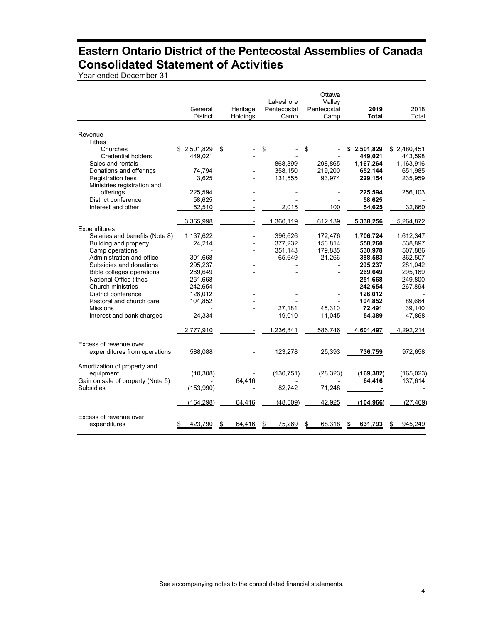### <span id="page-5-0"></span>**Eastern Ontario District of the Pentecostal Assemblies of Canada Consolidated Statement of Activities**

Year ended December 31

|                                                         | General<br><b>District</b> | Heritage<br>Holdings | Lakeshore<br>Pentecostal<br>Camp | Ottawa<br>Valley<br>Pentecostal<br>Camp | 2019<br><b>Total</b> | 2018<br>Total |
|---------------------------------------------------------|----------------------------|----------------------|----------------------------------|-----------------------------------------|----------------------|---------------|
| Revenue                                                 |                            |                      |                                  |                                         |                      |               |
| <b>Tithes</b>                                           |                            |                      |                                  |                                         |                      |               |
| Churches                                                | \$2,501,829                | \$                   | \$                               | \$                                      | 2,501,829            | \$2,480,451   |
| <b>Credential holders</b>                               | 449,021                    |                      |                                  |                                         | 449,021              | 443,598       |
| Sales and rentals                                       |                            |                      | 868,399                          | 298,865                                 | 1,167,264            | 1,163,916     |
| Donations and offerings                                 | 74,794                     |                      | 358,150                          | 219,200                                 | 652,144              | 651,985       |
| <b>Registration fees</b><br>Ministries registration and | 3,625                      |                      | 131,555                          | 93,974                                  | 229,154              | 235,959       |
| offerings                                               | 225,594                    |                      |                                  |                                         | 225,594              | 256,103       |
| District conference                                     | 58,625                     |                      |                                  |                                         | 58,625               |               |
| Interest and other                                      | 52,510                     |                      | 2.015                            | 100                                     | 54,625               | 32,860        |
|                                                         | 3,365,998                  |                      | 1,360,119                        | 612,139                                 | 5,338,256            | 5,264,872     |
| Expenditures                                            |                            |                      |                                  |                                         |                      |               |
| Salaries and benefits (Note 8)                          | 1,137,622                  |                      | 396,626                          | 172,476                                 | 1,706,724            | 1,612,347     |
| Building and property                                   | 24,214                     |                      | 377,232                          | 156,814                                 | 558,260              | 538,897       |
| Camp operations                                         |                            |                      | 351,143                          | 179,835                                 | 530,978              | 507,886       |
| Administration and office                               | 301,668                    |                      | 65,649                           | 21,266                                  | 388,583              | 362,507       |
| Subsidies and donations                                 | 295,237                    |                      |                                  |                                         | 295,237              | 281,042       |
| Bible colleges operations                               | 269,649                    |                      |                                  |                                         | 269,649              | 295,169       |
| National Office tithes                                  | 251,668                    |                      |                                  |                                         | 251,668              | 249,800       |
| Church ministries                                       | 242,654                    |                      |                                  |                                         | 242,654              | 267,894       |
| District conference                                     | 126,012                    |                      |                                  |                                         | 126,012              |               |
| Pastoral and church care                                | 104,852                    |                      |                                  |                                         | 104.852              | 89.664        |
| <b>Missions</b>                                         |                            |                      | 27,181                           | 45,310                                  | 72,491               | 39,140        |
| Interest and bank charges                               | 24,334                     |                      | 19.010                           | 11.045                                  | 54,389               | 47,868        |
|                                                         | 2,777,910                  |                      | 1,236,841                        | 586,746                                 | 4,601,497            | 4,292,214     |
| Excess of revenue over                                  |                            |                      |                                  |                                         |                      |               |
| expenditures from operations                            | 588,088                    |                      | 123,278                          | 25,393                                  | 736,759              | 972,658       |
| Amortization of property and                            |                            |                      |                                  |                                         |                      |               |
| equipment                                               | (10, 308)                  |                      | (130, 751)                       | (28, 323)                               | (169, 382)           | (165, 023)    |
| Gain on sale of property (Note 5)                       |                            | 64,416               |                                  |                                         | 64,416               | 137,614       |
| Subsidies                                               | (153,990)                  |                      | 82,742                           | 71,248                                  |                      |               |
|                                                         | (164, 298)                 | 64.416               | (48,009)                         | 42,925                                  | (104, 966)           | (27, 409)     |
| Excess of revenue over                                  |                            |                      |                                  |                                         |                      |               |
| expenditures                                            | 423,790                    | 64,416<br>\$         | 75,269<br>\$                     | 68,318                                  | 631,793<br>\$        | 945,249       |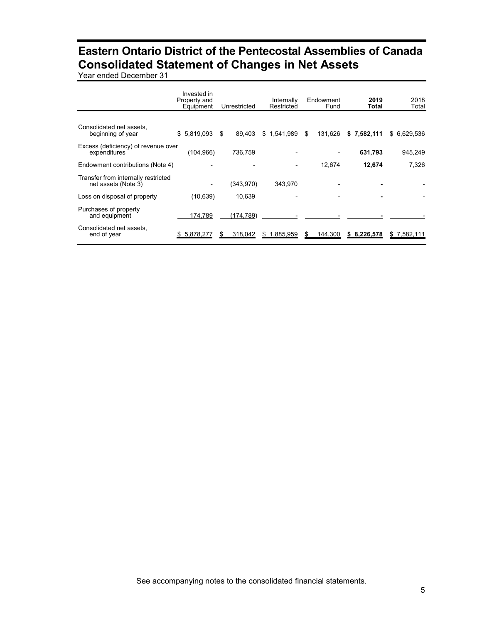### <span id="page-6-0"></span>**Eastern Ontario District of the Pentecostal Assemblies of Canada Consolidated Statement of Changes in Net Assets**

Year ended December 31

|                                                            | Invested in<br>Property and<br>Equipment | Endowment<br>Internallv<br>Restricted<br>Fund<br>Unrestricted |                  | 2019<br>Total | 2018<br>Total   |                 |
|------------------------------------------------------------|------------------------------------------|---------------------------------------------------------------|------------------|---------------|-----------------|-----------------|
|                                                            |                                          |                                                               |                  |               |                 |                 |
| Consolidated net assets,<br>beginning of year              | \$5,819,093                              | 89.403<br>-S                                                  | 1,541,989<br>\$  | 131,626<br>\$ | \$7,582,111     | 6,629,536<br>\$ |
| Excess (deficiency) of revenue over<br>expenditures        | (104, 966)                               | 736,759                                                       |                  |               | 631,793         | 945,249         |
| Endowment contributions (Note 4)                           |                                          |                                                               |                  | 12.674        | 12,674          | 7.326           |
| Transfer from internally restricted<br>net assets (Note 3) |                                          | (343,970)                                                     | 343.970          |               |                 |                 |
| Loss on disposal of property                               | (10,639)                                 | 10,639                                                        |                  |               |                 |                 |
| Purchases of property<br>and equipment                     | 174,789                                  | (174, 789)                                                    |                  |               |                 |                 |
| Consolidated net assets.<br>end of year                    | \$ 5,878,277                             | 318,042<br>S                                                  | 1,885,959<br>\$. | 144,300<br>S  | 8,226,578<br>S. | \$7,582,111     |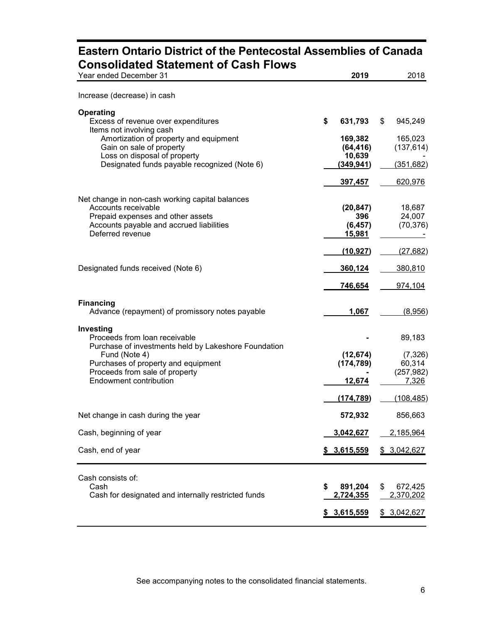### <span id="page-7-0"></span>**Eastern Ontario District of the Pentecostal Assemblies of Canada Consolidated Statement of Cash Flows**

| onsonaaled Oldtenient of Odsif Flows<br>Year ended December 31                                                                                                                 | 2019                                         | 2018                                |
|--------------------------------------------------------------------------------------------------------------------------------------------------------------------------------|----------------------------------------------|-------------------------------------|
| Increase (decrease) in cash                                                                                                                                                    |                                              |                                     |
| <b>Operating</b><br>Excess of revenue over expenditures                                                                                                                        | \$<br>631,793                                | \$<br>945,249                       |
| Items not involving cash<br>Amortization of property and equipment<br>Gain on sale of property<br>Loss on disposal of property<br>Designated funds payable recognized (Note 6) | 169,382<br>(64, 416)<br>10,639<br>(349, 941) | 165,023<br>(137, 614)<br>(351, 682) |
|                                                                                                                                                                                | 397,457                                      | 620,976                             |
| Net change in non-cash working capital balances<br>Accounts receivable<br>Prepaid expenses and other assets<br>Accounts payable and accrued liabilities<br>Deferred revenue    | (20, 847)<br>396<br>(6, 457)<br>15,981       | 18,687<br>24,007<br>(70, 376)       |
|                                                                                                                                                                                | (10, 927)                                    | (27, 682)                           |
| Designated funds received (Note 6)                                                                                                                                             | 360,124                                      | 380,810                             |
|                                                                                                                                                                                | 746,654                                      | 974,104                             |
| <b>Financing</b><br>Advance (repayment) of promissory notes payable                                                                                                            | 1,067                                        | (8,956)                             |
| Investing<br>Proceeds from loan receivable<br>Purchase of investments held by Lakeshore Foundation                                                                             |                                              | 89,183                              |
| Fund (Note 4)<br>Purchases of property and equipment<br>Proceeds from sale of property                                                                                         | (12, 674)<br>(174, 789)                      | (7, 326)<br>60,314<br>(257, 982)    |
| <b>Endowment contribution</b>                                                                                                                                                  | 12,674                                       | 7,326                               |
|                                                                                                                                                                                | (174, 789)                                   | (108, 485)                          |
| Net change in cash during the year                                                                                                                                             | 572,932                                      | 856,663                             |
| Cash, beginning of year                                                                                                                                                        | 3,042,627                                    | 2,185,964                           |
| Cash, end of year                                                                                                                                                              | \$3,615,559                                  | \$3,042,627                         |
| Cash consists of:<br>Cash<br>Cash for designated and internally restricted funds                                                                                               | \$<br>891,204<br>2,724,355                   | \$<br>672,425<br>2,370,202          |
|                                                                                                                                                                                | \$3,615,559                                  | \$3,042,627                         |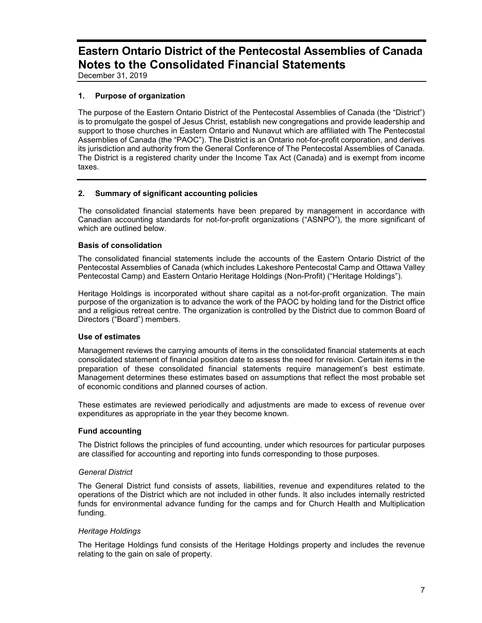<span id="page-8-0"></span>December 31, 2019

#### **1. Purpose of organization**

The purpose of the Eastern Ontario District of the Pentecostal Assemblies of Canada (the "District") is to promulgate the gospel of Jesus Christ, establish new congregations and provide leadership and support to those churches in Eastern Ontario and Nunavut which are affiliated with The Pentecostal Assemblies of Canada (the "PAOC"). The District is an Ontario not-for-profit corporation, and derives its jurisdiction and authority from the General Conference of The Pentecostal Assemblies of Canada. The District is a registered charity under the Income Tax Act (Canada) and is exempt from income taxes.

#### **2. Summary of significant accounting policies**

The consolidated financial statements have been prepared by management in accordance with Canadian accounting standards for not-for-profit organizations ("ASNPO"), the more significant of which are outlined below.

#### **Basis of consolidation**

The consolidated financial statements include the accounts of the Eastern Ontario District of the Pentecostal Assemblies of Canada (which includes Lakeshore Pentecostal Camp and Ottawa Valley Pentecostal Camp) and Eastern Ontario Heritage Holdings (Non-Profit) ("Heritage Holdings").

Heritage Holdings is incorporated without share capital as a not-for-profit organization. The main purpose of the organization is to advance the work of the PAOC by holding land for the District office and a religious retreat centre. The organization is controlled by the District due to common Board of Directors ("Board") members.

#### **Use of estimates**

Management reviews the carrying amounts of items in the consolidated financial statements at each consolidated statement of financial position date to assess the need for revision. Certain items in the preparation of these consolidated financial statements require management's best estimate. Management determines these estimates based on assumptions that reflect the most probable set of economic conditions and planned courses of action.

These estimates are reviewed periodically and adjustments are made to excess of revenue over expenditures as appropriate in the year they become known.

#### **Fund accounting**

The District follows the principles of fund accounting, under which resources for particular purposes are classified for accounting and reporting into funds corresponding to those purposes.

#### *General District*

The General District fund consists of assets, liabilities, revenue and expenditures related to the operations of the District which are not included in other funds. It also includes internally restricted funds for environmental advance funding for the camps and for Church Health and Multiplication funding.

#### *Heritage Holdings*

The Heritage Holdings fund consists of the Heritage Holdings property and includes the revenue relating to the gain on sale of property.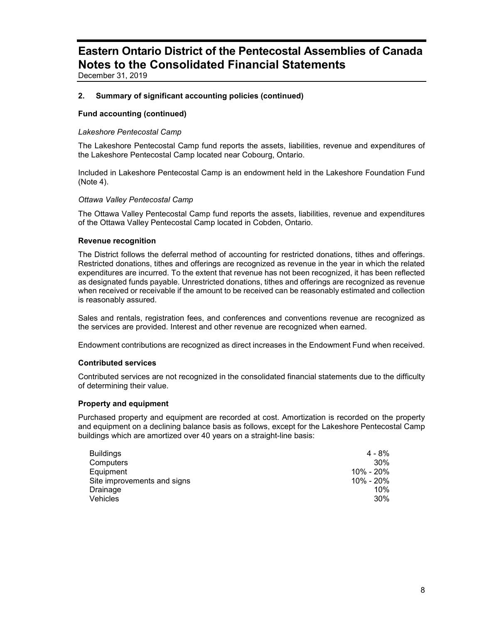December 31, 2019

#### **2. Summary of significant accounting policies (continued)**

#### **Fund accounting (continued)**

#### *Lakeshore Pentecostal Camp*

The Lakeshore Pentecostal Camp fund reports the assets, liabilities, revenue and expenditures of the Lakeshore Pentecostal Camp located near Cobourg, Ontario.

Included in Lakeshore Pentecostal Camp is an endowment held in the Lakeshore Foundation Fund (Note 4).

#### *Ottawa Valley Pentecostal Camp*

The Ottawa Valley Pentecostal Camp fund reports the assets, liabilities, revenue and expenditures of the Ottawa Valley Pentecostal Camp located in Cobden, Ontario.

#### **Revenue recognition**

The District follows the deferral method of accounting for restricted donations, tithes and offerings. Restricted donations, tithes and offerings are recognized as revenue in the year in which the related expenditures are incurred. To the extent that revenue has not been recognized, it has been reflected as designated funds payable. Unrestricted donations, tithes and offerings are recognized as revenue when received or receivable if the amount to be received can be reasonably estimated and collection is reasonably assured.

Sales and rentals, registration fees, and conferences and conventions revenue are recognized as the services are provided. Interest and other revenue are recognized when earned.

Endowment contributions are recognized as direct increases in the Endowment Fund when received.

#### **Contributed services**

Contributed services are not recognized in the consolidated financial statements due to the difficulty of determining their value.

#### **Property and equipment**

Purchased property and equipment are recorded at cost. Amortization is recorded on the property and equipment on a declining balance basis as follows, except for the Lakeshore Pentecostal Camp buildings which are amortized over 40 years on a straight-line basis:

| Buildings                   | 4 - 8%    |
|-----------------------------|-----------|
| Computers                   | 30%       |
| Equipment                   | 10% - 20% |
| Site improvements and signs | 10% - 20% |
| Drainage                    | 10%       |
| Vehicles                    | 30%       |
|                             |           |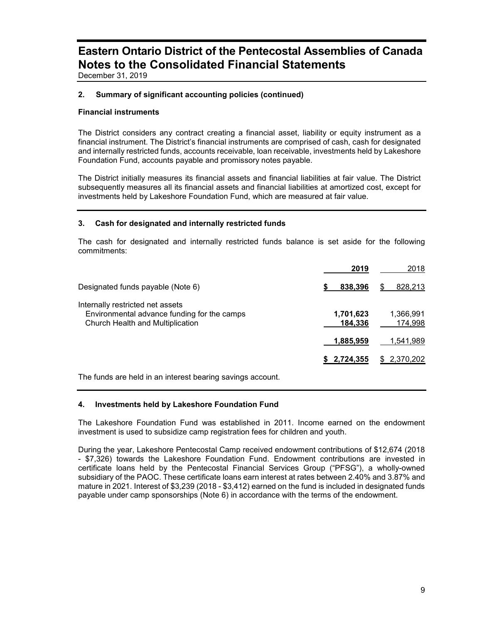December 31, 2019

#### **2. Summary of significant accounting policies (continued)**

#### **Financial instruments**

The District considers any contract creating a financial asset, liability or equity instrument as a financial instrument. The District's financial instruments are comprised of cash, cash for designated and internally restricted funds, accounts receivable, loan receivable, investments held by Lakeshore Foundation Fund, accounts payable and promissory notes payable.

The District initially measures its financial assets and financial liabilities at fair value. The District subsequently measures all its financial assets and financial liabilities at amortized cost, except for investments held by Lakeshore Foundation Fund, which are measured at fair value.

#### **3. Cash for designated and internally restricted funds**

The cash for designated and internally restricted funds balance is set aside for the following commitments:

|                                                                                                                     | 2019                 | 2018                 |
|---------------------------------------------------------------------------------------------------------------------|----------------------|----------------------|
| Designated funds payable (Note 6)                                                                                   | 838,396              | 828,213<br>S         |
| Internally restricted net assets<br>Environmental advance funding for the camps<br>Church Health and Multiplication | 1,701,623<br>184.336 | 1,366,991<br>174,998 |
|                                                                                                                     | 1,885,959            | 1,541,989            |
|                                                                                                                     | \$2,724,355          | 2,370,202<br>S       |
|                                                                                                                     |                      |                      |

The funds are held in an interest bearing savings account.

#### **4. Investments held by Lakeshore Foundation Fund**

The Lakeshore Foundation Fund was established in 2011. Income earned on the endowment investment is used to subsidize camp registration fees for children and youth.

During the year, Lakeshore Pentecostal Camp received endowment contributions of \$12,674 (2018 - \$7,326) towards the Lakeshore Foundation Fund. Endowment contributions are invested in certificate loans held by the Pentecostal Financial Services Group ("PFSG"), a wholly-owned subsidiary of the PAOC. These certificate loans earn interest at rates between 2.40% and 3.87% and mature in 2021. Interest of \$3,239 (2018 - \$3,412) earned on the fund is included in designated funds payable under camp sponsorships (Note 6) in accordance with the terms of the endowment.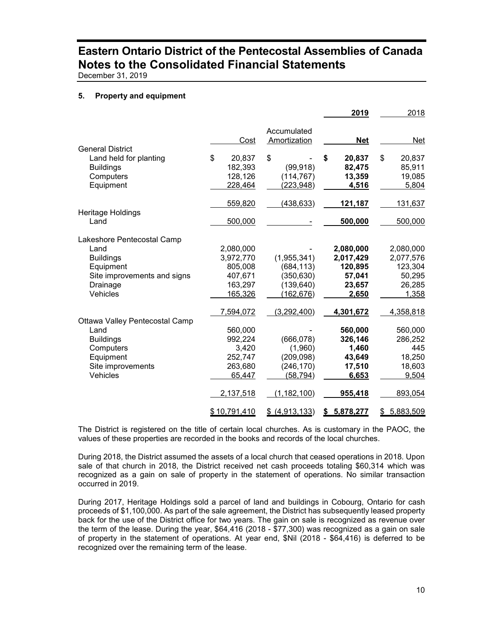December 31, 2019

#### **5. Property and equipment**

|                                |              |                             | 2019           | 2018            |
|--------------------------------|--------------|-----------------------------|----------------|-----------------|
|                                | Cost         | Accumulated<br>Amortization | <b>Net</b>     | Net             |
| <b>General District</b>        |              |                             |                |                 |
| Land held for planting         | \$<br>20,837 | \$                          | \$<br>20,837   | \$<br>20,837    |
| <b>Buildings</b>               | 182,393      | (99, 918)                   | 82,475         | 85,911          |
| Computers                      | 128,126      | (114, 767)                  | 13,359         | 19,085          |
| Equipment                      | 228,464      | (223, 948)                  | 4,516          | 5,804           |
|                                | 559,820      | (438, 633)                  | <u>121,187</u> | 131,637         |
| Heritage Holdings              |              |                             |                |                 |
| Land                           | 500,000      |                             | 500,000        | 500,000         |
| Lakeshore Pentecostal Camp     |              |                             |                |                 |
| Land                           | 2,080,000    |                             | 2,080,000      | 2,080,000       |
| <b>Buildings</b>               | 3,972,770    | (1,955,341)                 | 2,017,429      | 2,077,576       |
| Equipment                      | 805,008      | (684, 113)                  | 120,895        | 123,304         |
| Site improvements and signs    | 407,671      | (350, 630)                  | 57,041         | 50,295          |
| Drainage                       | 163,297      | (139, 640)                  | 23,657         | 26,285          |
| Vehicles                       | 165,326      | (162, 676)                  | 2,650          | 1,358           |
|                                | 7,594,072    | (3,292,400)                 | 4,301,672      | 4,358,818       |
| Ottawa Valley Pentecostal Camp |              |                             |                |                 |
| Land                           | 560,000      |                             | 560,000        | 560,000         |
| <b>Buildings</b>               | 992,224      | (666, 078)                  | 326,146        | 286,252         |
| Computers                      | 3,420        | (1,960)                     | 1,460          | 445             |
| Equipment                      | 252,747      | (209, 098)                  | 43,649         | 18,250          |
| Site improvements              | 263,680      | (246, 170)                  | 17,510         | 18,603          |
| Vehicles                       | 65,447       | (58, 794)                   | 6,653          | 9,504           |
|                                | 2,137,518    | (1, 182, 100)               | 955,418        | 893,054         |
|                                | \$10,791,410 | \$ (4,913,133)              | \$5,878,277    | 5,883,509<br>\$ |

The District is registered on the title of certain local churches. As is customary in the PAOC, the values of these properties are recorded in the books and records of the local churches.

During 2018, the District assumed the assets of a local church that ceased operations in 2018. Upon sale of that church in 2018, the District received net cash proceeds totaling \$60,314 which was recognized as a gain on sale of property in the statement of operations. No similar transaction occurred in 2019.

During 2017, Heritage Holdings sold a parcel of land and buildings in Cobourg, Ontario for cash proceeds of \$1,100,000. As part of the sale agreement, the District has subsequently leased property back for the use of the District office for two years. The gain on sale is recognized as revenue over the term of the lease. During the year, \$64,416 (2018 - \$77,300) was recognized as a gain on sale of property in the statement of operations. At year end, \$Nil (2018 - \$64,416) is deferred to be recognized over the remaining term of the lease.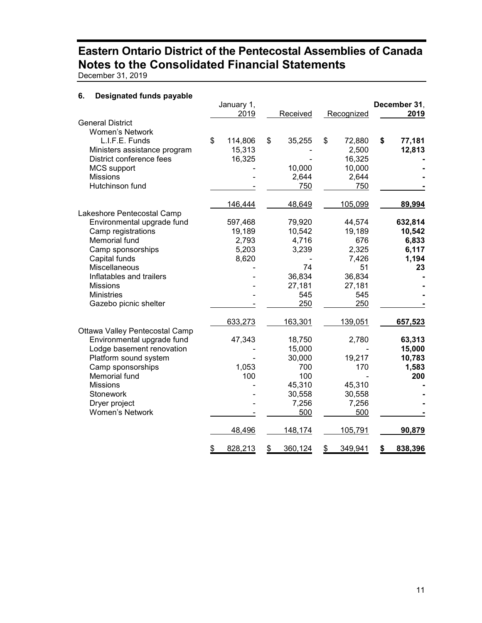December 31, 2019

#### **6. Designated funds payable**

|                                                          | January 1,<br>2019 | Received      | Recognized    | December 31,<br>2019 |
|----------------------------------------------------------|--------------------|---------------|---------------|----------------------|
| <b>General District</b>                                  |                    |               |               |                      |
| <b>Women's Network</b>                                   |                    |               |               |                      |
| L.I.F.E. Funds                                           | \$<br>114,806      | \$<br>35,255  | \$<br>72,880  | \$<br>77,181         |
| Ministers assistance program                             | 15,313             |               | 2,500         | 12,813               |
| District conference fees                                 | 16,325             |               | 16,325        |                      |
| <b>MCS</b> support                                       |                    | 10,000        | 10,000        |                      |
| <b>Missions</b>                                          |                    | 2,644         | 2,644         |                      |
| Hutchinson fund                                          |                    | 750           | 750           |                      |
|                                                          | 146,444            | 48,649        | 105,099       | 89,994               |
| Lakeshore Pentecostal Camp<br>Environmental upgrade fund | 597,468            | 79,920        | 44,574        | 632,814              |
| Camp registrations                                       | 19,189             | 10,542        | 19,189        | 10,542               |
| Memorial fund                                            | 2,793              | 4,716         | 676           | 6,833                |
| Camp sponsorships                                        | 5,203              | 3,239         | 2,325         | 6,117                |
| Capital funds                                            | 8,620              |               | 7,426         | 1,194                |
| <b>Miscellaneous</b>                                     |                    | 74            | 51            | 23                   |
| Inflatables and trailers                                 |                    | 36,834        | 36,834        |                      |
| <b>Missions</b>                                          |                    | 27,181        | 27,181        |                      |
| <b>Ministries</b>                                        |                    | 545           | 545           |                      |
| Gazebo picnic shelter                                    |                    | 250           | 250           |                      |
|                                                          | 633,273            | 163,301       | 139,051       | 657,523              |
| Ottawa Valley Pentecostal Camp                           |                    |               |               |                      |
| Environmental upgrade fund                               | 47,343             | 18,750        | 2,780         | 63,313               |
| Lodge basement renovation                                |                    | 15,000        |               | 15,000               |
| Platform sound system                                    |                    | 30,000        | 19,217        | 10,783               |
| Camp sponsorships                                        | 1,053              | 700           | 170           | 1,583                |
| Memorial fund                                            | 100                | 100           |               | 200                  |
| <b>Missions</b>                                          |                    | 45,310        | 45,310        |                      |
| <b>Stonework</b>                                         |                    | 30,558        | 30,558        |                      |
| Dryer project<br><b>Women's Network</b>                  |                    | 7,256<br>500  | 7,256<br>500  |                      |
|                                                          |                    |               |               |                      |
|                                                          | 48,496             | 148,174       | 105,791       | 90,879               |
|                                                          | \$<br>828,213      | \$<br>360,124 | \$<br>349,941 | \$<br>838,396        |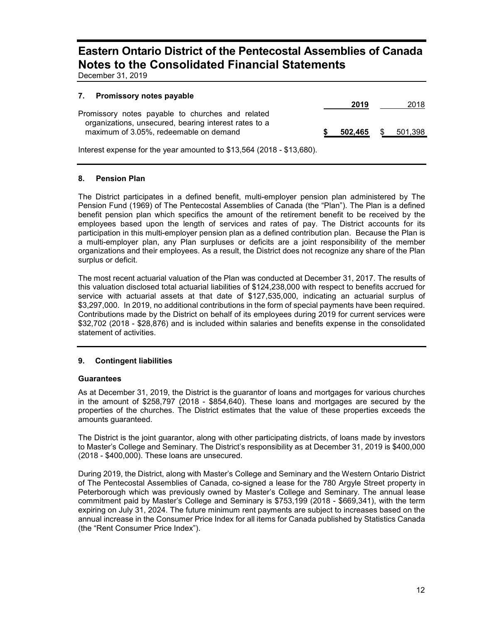December 31, 2019

#### **7. Promissory notes payable**

**2019** 2018 Promissory notes payable to churches and related organizations, unsecured, bearing interest rates to a maximum of 3.05%, redeemable on demand **\$ 502,465** \$ 501,398

Interest expense for the year amounted to \$13,564 (2018 - \$13,680).

#### **8. Pension Plan**

The District participates in a defined benefit, multi-employer pension plan administered by The Pension Fund (1969) of The Pentecostal Assemblies of Canada (the "Plan"). The Plan is a defined benefit pension plan which specifics the amount of the retirement benefit to be received by the employees based upon the length of services and rates of pay. The District accounts for its participation in this multi-employer pension plan as a defined contribution plan. Because the Plan is a multi-employer plan, any Plan surpluses or deficits are a joint responsibility of the member organizations and their employees. As a result, the District does not recognize any share of the Plan surplus or deficit.

The most recent actuarial valuation of the Plan was conducted at December 31, 2017. The results of this valuation disclosed total actuarial liabilities of \$124,238,000 with respect to benefits accrued for service with actuarial assets at that date of \$127,535,000, indicating an actuarial surplus of \$3,297,000. In 2019, no additional contributions in the form of special payments have been required. Contributions made by the District on behalf of its employees during 2019 for current services were \$32,702 (2018 - \$28,876) and is included within salaries and benefits expense in the consolidated statement of activities.

#### **9. Contingent liabilities**

#### **Guarantees**

As at December 31, 2019, the District is the guarantor of loans and mortgages for various churches in the amount of \$258,797 (2018 - \$854,640). These loans and mortgages are secured by the properties of the churches. The District estimates that the value of these properties exceeds the amounts guaranteed.

The District is the joint guarantor, along with other participating districts, of loans made by investors to Master's College and Seminary. The District's responsibility as at December 31, 2019 is \$400,000 (2018 - \$400,000). These loans are unsecured.

During 2019, the District, along with Master's College and Seminary and the Western Ontario District of The Pentecostal Assemblies of Canada, co-signed a lease for the 780 Argyle Street property in Peterborough which was previously owned by Master's College and Seminary. The annual lease commitment paid by Master's College and Seminary is \$753,199 (2018 - \$669,341), with the term expiring on July 31, 2024. The future minimum rent payments are subject to increases based on the annual increase in the Consumer Price Index for all items for Canada published by Statistics Canada (the "Rent Consumer Price Index").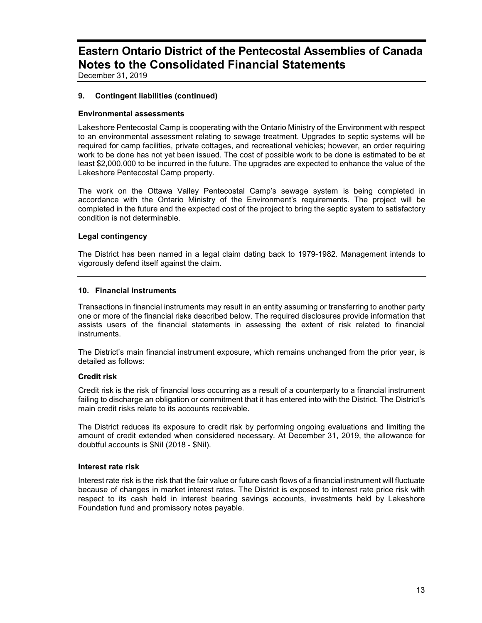December 31, 2019

#### **9. Contingent liabilities (continued)**

#### **Environmental assessments**

Lakeshore Pentecostal Camp is cooperating with the Ontario Ministry of the Environment with respect to an environmental assessment relating to sewage treatment. Upgrades to septic systems will be required for camp facilities, private cottages, and recreational vehicles; however, an order requiring work to be done has not yet been issued. The cost of possible work to be done is estimated to be at least \$2,000,000 to be incurred in the future. The upgrades are expected to enhance the value of the Lakeshore Pentecostal Camp property.

The work on the Ottawa Valley Pentecostal Camp's sewage system is being completed in accordance with the Ontario Ministry of the Environment's requirements. The project will be completed in the future and the expected cost of the project to bring the septic system to satisfactory condition is not determinable.

#### **Legal contingency**

The District has been named in a legal claim dating back to 1979-1982. Management intends to vigorously defend itself against the claim.

#### **10. Financial instruments**

Transactions in financial instruments may result in an entity assuming or transferring to another party one or more of the financial risks described below. The required disclosures provide information that assists users of the financial statements in assessing the extent of risk related to financial instruments.

The District's main financial instrument exposure, which remains unchanged from the prior year, is detailed as follows:

#### **Credit risk**

Credit risk is the risk of financial loss occurring as a result of a counterparty to a financial instrument failing to discharge an obligation or commitment that it has entered into with the District. The District's main credit risks relate to its accounts receivable.

The District reduces its exposure to credit risk by performing ongoing evaluations and limiting the amount of credit extended when considered necessary. At December 31, 2019, the allowance for doubtful accounts is \$Nil (2018 - \$Nil).

#### **Interest rate risk**

Interest rate risk is the risk that the fair value or future cash flows of a financial instrument will fluctuate because of changes in market interest rates. The District is exposed to interest rate price risk with respect to its cash held in interest bearing savings accounts, investments held by Lakeshore Foundation fund and promissory notes payable.